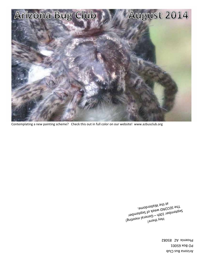Arizona Bus Club **PO Box 65001** Phoenix AZ 850082

*Sebtewper JOHD MEGK of 2ebtewper<br>Hey the Sever Corport Statewher<br>Hey there<sub>j</sub> Lye SECOND meek of 2ebtewper*<br>Pebtewper JOHD – Geveral Bebtewper<br>Hen <sub>H</sub>ugger at the Walterdome.  $\mathbf{1}_{\text{new}}$  there is  $T_{\text{SUT}}$  Sength WEECU.

Contemplating a new painting scheme? Check this out in full color on our website! www.azbusclub.org

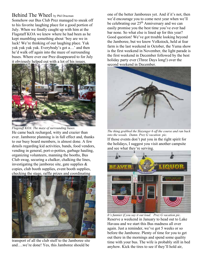#### Behind The Wheel by Phil Dracman

Somehow our Bus Club Prez managed to sneak off to his favorite laughing place for a good portion of July. When we finally caught up with him at the Flagstaff KOA we knew where he had been as he kept mumbling something about 'boy are we in luck! We're thinking of our laughing place. Yuk yuk yuk yuk yuk. Everybody's got a…' and then he'd walk off again into the maze of surrounding buses. Where ever our Prez disappeared to for July it obviously helped out with a lot of his issues.



*Flagstaff KOA. The maze of surrounding buses.*  He came back recharged, witty and crazier than ever. Jamboree planning is in full effect and, thanks to our busy board members, is almost done. A few details regarding kid activities, bands, food vendors, vending in general, port-o-potties, garbage hauling, organizing volunteers, manning the booths, Bus Club swag, securing a chalker, chalking the lines, investigating the jamboree site, gate supplies  $\&$ copies, club booth supplies, event booth supplies, checking the stage, raffle prizes and coordinating



transport of all the club stuff to the Jamboree site and….we're done! Yes, this Jamboree should be

one of the better Jamborees yet. And if it's not, then we'd encourage you to come next year when we'll be celebrating our 25<sup>th</sup> Anniversary and we can easily promise you the best time you've ever had bar none. So what else is lined up for this year? Good question! We've got trouble looking beyond the Jamboree, but we know Volkstock, held at fear farm is the last weekend in October, the Yuma show is the first weekend in November, the light parade is the first weekend in December followed by the best holiday party ever (Three Days long!) over the second weekend in December.



*The thing grabbed the Slazenger 6 off the course and ran back into the woods. Damn. Prez G vacation pic.*  If those events don't put you in the right spirit for the holidays, I suggest you visit another campsite and see what they're serving.



*It's funnier if you say it out loud. Prez G vacation pic.*  Reserve a weekend in January to head out to Lake Havasu and we start this Bus madness all over again. Just a reminder, we've got 5 weeks or so before the Jamboree. Plenty of time for you to get out there in the mornings and spend some quality time with your bus. The wife is probably still in bed anyhow. Kick the tires to see if they'll hold air,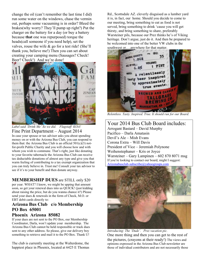change the oil (can't remember the last time I did) run some water on the windows, chase the vermin out, perhaps some vacuuming is in order? Bleed the brakes(why worry? They'll pump up right?) Put the charger on the battery for a day (or buy a battery because **that** one was repurposed) torque the heads(call someone if you need help), set the valves, rouse the wife  $\&$  go for a test ride! (She'll thank you, believe me!) Then you can set about creating your camping menu (Sausages? Check! Beer? Check!) And we're done!



*Label said 'Drink Me' So we did. Flagstaff KOA!*  Fine Print Department – August 2014 In case your spouse or tax advisor asks you about spending money on or with the Arizona Bus Club, you can respond to them that: the Arizona Bus Club is an official  $501(c)(3)$  notfor-profit Public Charity and you will choose how and with whom you wish to commune. That's right, just like donating to your favorite tabernacle the Arizona Bus Club can receive tax deductable donations of almost any type and give you that warm feeling of contributing to a tax exempt organization that you can truly believe in. Trust me! Consult your tax advisor to see if it's to your benefit and then donate anyway.

**MEMBERSHIP DUES** are STILL only \$20

per year. WHAT? I know, we might be upping that amount soon, so get your renewal dues into us QUICK! (just kidding about raising the price, but do you wanna chance it?) Please send your dues & renewals in the form of Check, M.O. or EBT debit cards directly to:

# **Arizona Bus Club c/o Membership PO Box 65001**

#### **Phoenix Arizona 85082**

If your dues are not sent to the PO Box, our Membership Coordinator, Darla, won't update your membership. The Arizona Bus Club cannot be held responsible or track dues sent to any other address. So please, give our delivery boy something to retrieve and mail it to the PO Box. Thank U!

The club is currently meeting at the Walterdome, the happiest place in Phoenix, located at 6425 E Thomas

Rd., Scottsdale AZ. cleverly disguised as a lumber yard it is, in fact, our home. Should you decide to come to our meeting, bring something to eat as food is not served, bring something to drink 'cause you will get thirsty, and bring something to share, preferably Warsteiner pils, because our Prez thinks he's of Viking heritage. Don't argue, just do it. And then be prepared to be welcomed into one of the better VW clubs in the southwest or….anywhere for that matter.



*Relentless. Tasty. Inspired. True. It should run for our Board.* 

## Your 2014 Bus Club Board includes:

Arrogant Bastard – David Murphy Pacifico – Darla Amatasin Devil's Ale – Mish Evans Corona Extra – Will Davis President of Vice – Jeremiah Polynone Weihenstephaner – Kris or Joyce Warsteiner – Gary Lampinen – 602 870 8071 msg If you're looking to contact our board, might I suggest: Arizonabusclub-subscribe@yahoogroups.com



*Introducing: The 'Dude'. Prez vacation pic.*  One more thing and then you can get to the rest of the pictures, (crayons at their ready!) The views and opinions expressed in the Arizona Bus Club newsletter are those of individual contributors and are not necessarily those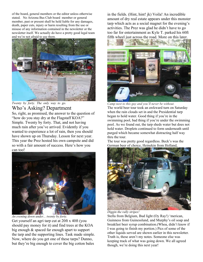of the board, general members or the editor unless otherwise stated. No Arizona Bus Club board member or general member, past or present shall be held liable for any damages, death, paper cuts, injury or harm resulting from the use or misuse of any information contained in the newsletter or the newsletter itself. We actually do have a pretty good legal team and we're not afraid to use them.



*Twenty by forty. The only way to go.*  Who's Asking? Department

So, right, as promised, the answer to the question of "how do you stay dry at the Flagstaff KOA?" Simple. Twenty by forty. That, and not having much rain after you've arrived. Evidently if you wanted to experience a lot of rain, then you should have shown up on Thursday. Lesson for next year. This year the Prez hosted his own campsite and did so with a fair amount of success. Here's how you can too!



*An evening down under... twenty by forty.*  Get yourself an agri tarp cut at 20ft x 40ft (you should pay money for it) and find trees at the KOA big enough & spaced far enough apart to support the tarp and the supporting lines. Task made simple. Now, where do you get one of these tarps? Dunno, but they're big enough to cover the big cotton bales

in the fields. (Hint, hint! jk) Voila! An incredible amount of dry real estate appears under this monster tarp which acts as a social magnet for the evening's activities. The Prez was glad he didn't have to go too far for entertainment as Kyle T. parked his 60ft fifth wheel just across the road. More on this later.



*Camp next to this guy and you'll never be without.*  The world beer tour took an awkward turn on Saturday when the rain clouds set in and the Presidential tarp began to hold water. Good thing if you're in the swimming pool, bad thing if you're under the swimming pool. As we found out, the tarp sheds water but does not hold water. Droplets continued to form underneath until purged which became somewhat distracting half way thru the tour.

The tour was pretty good regardless. Beck's was the German beer of choice, Heinekin from Holland,



*Diggin the rally stripes!*

Stella from Belgium, Bud light (Oy Ray!) 'merican, Guinness from Guinesslund, and Murphy's oil soap and breakfast beer syrup combination.(Whoa, didn't know if I was going to finish my portion.) Pics of some of the other liquids served are shown earlier in this newsletter. Truth is, these aren't my notes. Someone else was keeping track of what was going down. We all agreed though, we're doing this next year!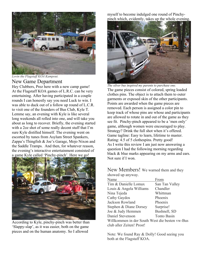

*Lovin the Flagstaff KOA Kampout.* 

# New Game Department

Hey Clubbers, Prez here with a new camp game! At the Flagstaff KOA games of L.R.C. can be very entertaining. After having participated in a couple rounds I can honestly say you need Luck to win. I was able to duck out of a follow up round of L.C.R. to visit one of the founders of Bus Club, Kyle T. Lemme say, an evening with Kyle is like several long weekends all rolled into one, and will take you about as long to recover. Briefly, the evening started with a 2oz shot of some really decent stuff that I'm sure Kyle distilled himself. The evening went on escorted by tunes from Asylum Street Spankers, Zappa's Thingfish & Joe's Garage, Mojo Nixon and the Saddle Tramps. And then, for whatever reason, the evening's interactive entertainment consisted of a game Kyle called 'Pinchy-pinch'. Here we go!



According to Kyle, pinchy-pinch was better than 'Slappy-slap', as it was easier, both on the game pieces and on the human anatomy. So I allowed

myself to become indulged one round of Pinchypinch which, evidently, takes up the whole evening.



*The silver bus inspired my parents to purchase one.*  The game pieces consist of colored, spring loaded clothes pins. The object is to attach them to outer garments or exposed skin of the other participants. Points are awarded when the game pieces are removed. Each person is assigned a color pin to keep track of whose pins are whose and participants are allowed to rotate in and out of the game as they see fit. Pinchy-pinch appeared to be a 'men only' game, although women were encouraged to play. Strategy? Drink the full shot when it's offered. Game tagline: Easy to learn, lifetime to master. Rating: 4.5 of 5 clothespins. Pretty good! As I write this review I am just now answering a question I had the following morning regarding black & blue marks appearing on my arms and ears. Not sure if I won.

New Members! We warned them and they showed up anyway.

| Name                                           | From           |
|------------------------------------------------|----------------|
| Tim & Danielle Lomax                           | San Tan Valley |
| Louis & Angela Williams                        | Chandler       |
| Nina Tejeda                                    | Whittman       |
| Cathy Gaydos                                   | Phoenix        |
| Jackson Rowland                                | Phoenix        |
| Stephen & Diane Dorsey                         | Surprise!      |
| Joe & Judy Hemmen                              | Bushnell, SD   |
| Daniel Stevenson                               | Tonto Basin    |
| Willkommen in der South West die besten vw-Bus |                |
| club aller Zeiten! Prost!                      |                |

Note: We found Ray & Dolly! Good seeing you both at the Flagstaff KOA.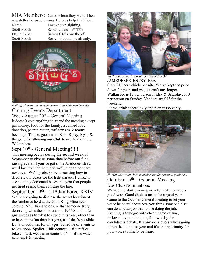MIA Members: Dunno where they went. Their newsletter keeps returning. Help us help find them.

Name Last known sighting Scott Booth Scotts…dale (WTF?) David Lehan Saturn (He's out there!) Scott Booth Sorry, did that one already.



*Half off all menu items with current Bus Cub membership.*  Coming Events Department

Wed - August  $20<sup>th</sup>$  – General Meeting It doesn't cost anything to attend the meeting except gas money, food for the family, a canned food donation, peanut butter, raffle prizes & foamy beverage. Thanks goes out to Kirk, Ricky, Ryan & the gang for allowing our Club to use & abuse the Walterdome.

Sept 10<sup>th</sup> - General Meeting!!!

This meeting occurs during the **second week** of September to give us some time before our fund raising event. If you've got some Jamboree ideas, we'd love to hear them and we'll plan to do them next year. We'll probably be discussing how to decorate our buses for the light parade. I'd like to see so many decorated buses this year that people get tired seeing them roll thru the line.

September  $19<sup>th</sup> - 21<sup>st</sup>$  Jamboree XXIV We're not going to disclose the secret location of the Jamboree held at the Gold King Mine near Jerome, AZ. This is to ensure that someone truly deserving wins the club restored 1966 Sundial. No guarantees as to what to expect this year, other than to have more fun than last year, as if that's possible. Lot's of activities for all ages. Schedule of events to follow soon. Spoiler: Chili contest, Daily raffles, bike contest, wet t-shirt contest is 'on' if the water tank truck is running.



*We'll see you next year at the Flagstaff KOA.*  JAMBOEREE ENTRY FEE: Only \$15 per vehicle per nite. We've kept the price down for years and we just can't any longer. Walkin fee is \$5 per person Friday & Saturday, \$10 per person on Sunday. Vendors are \$35 for the weekend.

Please drink accordingly and plan responsibly.



*He who drives this bus, consider him for spiritual guidance.*  October  $15<sup>th</sup>$  – General Meeting Bus Club Nominations

We need to start planning now for 2015 to have a good year. Good choices make for a good year. Come to the October General meeting to let your voice be heard about how you think someone else can do a better job than those doing the job. Evening is to begin with cheap name calling, followed by nominations, followed by the candidate's debate. It's anyone's guess who's going to run the club next year and it's an opportunity for your voice to finally be heard.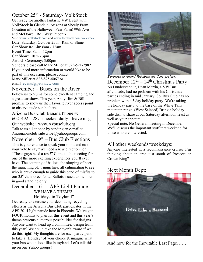# October 25<sup>th</sup> - Saturday- VolkStock

Get ready for another fantastic VW Event with VolkStock in Glendale, Arizona at Sheely Farm (location of the Halloween Fear Farm) 99th Ave and McDowell Rd., West Phoenix. Visit www.Volkstock.com and www.facebook.com/volkstock Date: Saturday, October 25th - Rain or Shine Car Show Roll-in: 6am - 12am Event Time: 8am - 12pm Car Show: 10am - 3pm Awards Ceremony: 3:00pm Vendors please call Mark Miller at 623-521-7982 If you need more information or would like to be part of this occasion, please contact Mark Miller at 623-875-4067 or email events@peoriavw.com

November – Buses on the River Follow us to Yuma for some excellent camping and a great car show. This year, Andy, Jim & Bill promise to show us their favorite river access point to observe nude sun bathers.

Arizona Bus Club Banana Phone #: 602 492 5287- checked daily - leave msg Our website: wvw.Azbusclub.org Talk to us all at once by sending an e-mail to: Arizonabusclub-subscribe@yahoogroups.com

November  $19<sup>th</sup> - Bus Club Electronics$ This is your chance to speak your mind and cast your vote to say "We need a new direction" or "These guys need a rest!" Come to the meeting for one of the more exciting experiences you'll ever have. The counting of ballots, the slurping of beer, the munching of… munchies, all culminating to see who is brave enough to guide this band of misfits to our 25th Jamboree. Note: Ballots issued to members in good standing only.

# December –  $6<sup>th</sup>$  – APS Light Parade WE HAVE A THEME! "Holidays in Toyland"

Get ready to exercise your decorating recycling efforts as the Arizona Bus Club participates in the APS 2014 light parade here in Phoenix. We've got FOUR months to plan for this event and this year's theme presents numerous possibilities for designs. Anyone want to head up a committee/ design team this year? We could take the Mayor's award if we do this right! My thoughts are for each participant to take a 'Holiday' of your choice & imagine what your bus would look like in toyland. Let's talk this up on our Yahoo groups!



I promise to remind Ted about his 'June' project. December  $12<sup>th</sup> - 14<sup>th</sup> Christmas Party$ As I understand it, Dean Martin, a VW Bus aficionado, had no problem with his Christmas parties ending in mid January. So, Bus Club has no problem with a 3 day holiday party. We're taking the holiday party to the base of the White Tank mountain range. (West Saieeed) Bring a holiday side dish to share at our Saturday afternoon feast as well as your appetite.

Special note: No General meeting in December. We'll discuss the important stuff that weekend for those who are interested.

# All other weekends/weekdays:

Anyone interested in a reconnaissance cruise? I'm thinking about an area just south of Prescott or Crown King?

### Next Month Dept:



And now for the Inevitable Last Page……